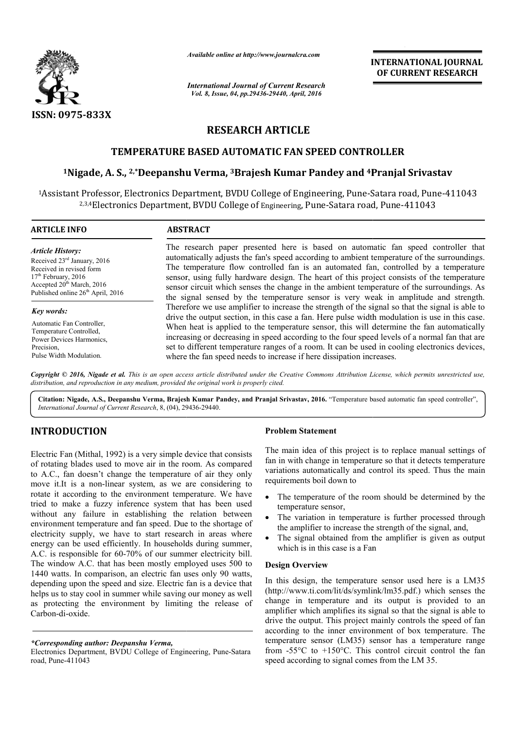

*Available online at http://www.journalcra.com*

# **RESEARCH ARTICLE**

## **TEMPERATURE BASED AUTOMATIC FAN SPEED CONTROLLER**

# **1Nigade, A. S., 2,\*Deepanshu Verma, Deepanshu 3Brajesh Kumar Pandey and 4Pranjal Pranjal Srivastav**

|                                                                                                                                                                                                                                                                                                                                                                                                                                                                                                                                                                                                                                                                                                                                                                                          | лтините опине иг нир.//www.journaicra.com<br><b>International Journal of Current Research</b><br>Vol. 8, Issue, 04, pp.29436-29440, April, 2016                                                                                                                                                                                                                                                                                                                                                                                                                                                                                                                                                                                                                                                                                                                                                                                                                                                                                                                                                                                        | <b>INTERNATIONAL JOURNAL</b><br>OF CURRENT RESEARCH                                                                                                                                                                                                                                                                                                                                          |
|------------------------------------------------------------------------------------------------------------------------------------------------------------------------------------------------------------------------------------------------------------------------------------------------------------------------------------------------------------------------------------------------------------------------------------------------------------------------------------------------------------------------------------------------------------------------------------------------------------------------------------------------------------------------------------------------------------------------------------------------------------------------------------------|----------------------------------------------------------------------------------------------------------------------------------------------------------------------------------------------------------------------------------------------------------------------------------------------------------------------------------------------------------------------------------------------------------------------------------------------------------------------------------------------------------------------------------------------------------------------------------------------------------------------------------------------------------------------------------------------------------------------------------------------------------------------------------------------------------------------------------------------------------------------------------------------------------------------------------------------------------------------------------------------------------------------------------------------------------------------------------------------------------------------------------------|----------------------------------------------------------------------------------------------------------------------------------------------------------------------------------------------------------------------------------------------------------------------------------------------------------------------------------------------------------------------------------------------|
| <b>ISSN: 0975-833X</b>                                                                                                                                                                                                                                                                                                                                                                                                                                                                                                                                                                                                                                                                                                                                                                   |                                                                                                                                                                                                                                                                                                                                                                                                                                                                                                                                                                                                                                                                                                                                                                                                                                                                                                                                                                                                                                                                                                                                        |                                                                                                                                                                                                                                                                                                                                                                                              |
|                                                                                                                                                                                                                                                                                                                                                                                                                                                                                                                                                                                                                                                                                                                                                                                          | <b>RESEARCH ARTICLE</b>                                                                                                                                                                                                                                                                                                                                                                                                                                                                                                                                                                                                                                                                                                                                                                                                                                                                                                                                                                                                                                                                                                                |                                                                                                                                                                                                                                                                                                                                                                                              |
|                                                                                                                                                                                                                                                                                                                                                                                                                                                                                                                                                                                                                                                                                                                                                                                          |                                                                                                                                                                                                                                                                                                                                                                                                                                                                                                                                                                                                                                                                                                                                                                                                                                                                                                                                                                                                                                                                                                                                        |                                                                                                                                                                                                                                                                                                                                                                                              |
|                                                                                                                                                                                                                                                                                                                                                                                                                                                                                                                                                                                                                                                                                                                                                                                          |                                                                                                                                                                                                                                                                                                                                                                                                                                                                                                                                                                                                                                                                                                                                                                                                                                                                                                                                                                                                                                                                                                                                        | TEMPERATURE BASED AUTOMATIC FAN SPEED CONTROLLER                                                                                                                                                                                                                                                                                                                                             |
|                                                                                                                                                                                                                                                                                                                                                                                                                                                                                                                                                                                                                                                                                                                                                                                          |                                                                                                                                                                                                                                                                                                                                                                                                                                                                                                                                                                                                                                                                                                                                                                                                                                                                                                                                                                                                                                                                                                                                        | <sup>1</sup> Nigade, A. S., <sup>2,*</sup> Deepanshu Verma, <sup>3</sup> Brajesh Kumar Pandey and <sup>4</sup> Pranjal Srivastav                                                                                                                                                                                                                                                             |
|                                                                                                                                                                                                                                                                                                                                                                                                                                                                                                                                                                                                                                                                                                                                                                                          |                                                                                                                                                                                                                                                                                                                                                                                                                                                                                                                                                                                                                                                                                                                                                                                                                                                                                                                                                                                                                                                                                                                                        | <sup>1</sup> Assistant Professor, Electronics Department, BVDU College of Engineering, Pune-Satara road, Pune-411043<br><sup>2,3,4</sup> Electronics Department, BVDU College of Engineering, Pune-Satara road, Pune-411043                                                                                                                                                                  |
| <b>ARTICLE INFO</b>                                                                                                                                                                                                                                                                                                                                                                                                                                                                                                                                                                                                                                                                                                                                                                      | <b>ABSTRACT</b>                                                                                                                                                                                                                                                                                                                                                                                                                                                                                                                                                                                                                                                                                                                                                                                                                                                                                                                                                                                                                                                                                                                        |                                                                                                                                                                                                                                                                                                                                                                                              |
| <b>Article History:</b><br>Received 23rd January, 2016<br>Received in revised form<br>17 <sup>th</sup> February, 2016<br>Accepted $20^{th}$ March, 2016<br>Published online $26^{th}$ April, 2016                                                                                                                                                                                                                                                                                                                                                                                                                                                                                                                                                                                        | The research paper presented here is based on automatic fan speed controller that<br>automatically adjusts the fan's speed according to ambient temperature of the surroundings.<br>The temperature flow controlled fan is an automated fan, controlled by a temperature<br>sensor, using fully hardware design. The heart of this project consists of the temperature<br>sensor circuit which senses the change in the ambient temperature of the surroundings. As<br>the signal sensed by the temperature sensor is very weak in amplitude and strength.<br>Therefore we use amplifier to increase the strength of the signal so that the signal is able to<br>drive the output section, in this case a fan. Here pulse width modulation is use in this case.<br>When heat is applied to the temperature sensor, this will determine the fan automatically<br>increasing or decreasing in speed according to the four speed levels of a normal fan that are<br>set to different temperature ranges of a room. It can be used in cooling electronics devices,<br>where the fan speed needs to increase if here dissipation increases. |                                                                                                                                                                                                                                                                                                                                                                                              |
| Key words:<br>Automatic Fan Controller,<br>Temperature Controlled,<br>Power Devices Harmonics,<br>Precision,<br>Pulse Width Modulation.                                                                                                                                                                                                                                                                                                                                                                                                                                                                                                                                                                                                                                                  |                                                                                                                                                                                                                                                                                                                                                                                                                                                                                                                                                                                                                                                                                                                                                                                                                                                                                                                                                                                                                                                                                                                                        |                                                                                                                                                                                                                                                                                                                                                                                              |
| distribution, and reproduction in any medium, provided the original work is properly cited.                                                                                                                                                                                                                                                                                                                                                                                                                                                                                                                                                                                                                                                                                              |                                                                                                                                                                                                                                                                                                                                                                                                                                                                                                                                                                                                                                                                                                                                                                                                                                                                                                                                                                                                                                                                                                                                        | Copyright © 2016, Nigade et al. This is an open access article distributed under the Creative Commons Attribution License, which permits unrestricted use,                                                                                                                                                                                                                                   |
| International Journal of Current Research, 8, (04), 29436-29440.                                                                                                                                                                                                                                                                                                                                                                                                                                                                                                                                                                                                                                                                                                                         |                                                                                                                                                                                                                                                                                                                                                                                                                                                                                                                                                                                                                                                                                                                                                                                                                                                                                                                                                                                                                                                                                                                                        | Citation: Nigade, A.S., Deepanshu Verma, Brajesh Kumar Pandey, and Pranjal Srivastav, 2016. "Temperature based automatic fan speed controller",                                                                                                                                                                                                                                              |
| <b>INTRODUCTION</b>                                                                                                                                                                                                                                                                                                                                                                                                                                                                                                                                                                                                                                                                                                                                                                      |                                                                                                                                                                                                                                                                                                                                                                                                                                                                                                                                                                                                                                                                                                                                                                                                                                                                                                                                                                                                                                                                                                                                        | <b>Problem Statement</b>                                                                                                                                                                                                                                                                                                                                                                     |
| Electric Fan (Mithal, 1992) is a very simple device that consists<br>of rotating blades used to move air in the room. As compared<br>to A.C., fan doesn't change the temperature of air they only<br>move it.It is a non-linear system, as we are considering to<br>rotate it according to the environment temperature. We have<br>tried to make a fuzzy inference system that has been used<br>without any failure in establishing the relation between<br>environment temperature and fan speed. Due to the shortage of<br>electricity supply, we have to start research in areas where<br>energy can be used efficiently. In households during summer,<br>A.C. is responsible for 60-70% of our summer electricity bill.<br>The window A.C. that has been mostly employed uses 500 to |                                                                                                                                                                                                                                                                                                                                                                                                                                                                                                                                                                                                                                                                                                                                                                                                                                                                                                                                                                                                                                                                                                                                        | The main idea of this project is to replace manual settings of<br>fan in with change in temperature so that it detects temperature<br>variations automatically and control its speed. Thus the main<br>requirements boil down to                                                                                                                                                             |
|                                                                                                                                                                                                                                                                                                                                                                                                                                                                                                                                                                                                                                                                                                                                                                                          |                                                                                                                                                                                                                                                                                                                                                                                                                                                                                                                                                                                                                                                                                                                                                                                                                                                                                                                                                                                                                                                                                                                                        | The temperature of the room should be determined by the<br>temperature sensor,<br>The variation in temperature is further processed through<br>the amplifier to increase the strength of the signal, and,<br>The signal obtained from the amplifier is given as output<br>which is in this case is a Fan<br><b>Design Overview</b>                                                           |
| 1440 watts. In comparison, an electric fan uses only 90 watts,<br>depending upon the speed and size. Electric fan is a device that<br>helps us to stay cool in summer while saving our money as well<br>as protecting the environment by limiting the release of<br>Carbon-di-oxide.                                                                                                                                                                                                                                                                                                                                                                                                                                                                                                     |                                                                                                                                                                                                                                                                                                                                                                                                                                                                                                                                                                                                                                                                                                                                                                                                                                                                                                                                                                                                                                                                                                                                        | In this design, the temperature sensor used here is a LM35<br>(http://www.ti.com/lit/ds/symlink/lm35.pdf.) which senses the<br>change in temperature and its output is provided to an<br>amplifier which amplifies its signal so that the signal is able to<br>drive the output. This project mainly controls the speed of fan<br>according to the inner environment of box temperature. The |
| *Corresponding author: Deepanshu Verma,<br>Electronics Department, BVDU College of Engineering, Pune-Satara<br>road, Pune-411043                                                                                                                                                                                                                                                                                                                                                                                                                                                                                                                                                                                                                                                         |                                                                                                                                                                                                                                                                                                                                                                                                                                                                                                                                                                                                                                                                                                                                                                                                                                                                                                                                                                                                                                                                                                                                        | temperature sensor (LM35) sensor has a temperature range<br>from -55 $\degree$ C to +150 $\degree$ C. This control circuit control the fan<br>speed according to signal comes from the LM 35.                                                                                                                                                                                                |

# **INTRODUCTION**

#### **Problem Statement**

- temperature sensor,
- The variation in temperature is further processed through the amplifier to increase the strength of the signal, and,
- The signal obtained from the amplifier is given as output which is in this case is a Fan (http://www.ti.com/lit/ds/symlink/lm35.pdf) which senses the temperature is given as output which is in this case is a Fan<br> **Design Overview**<br>
In this design, the temperature sensor used here is a LM35 (http://www.ti.com/l

#### **Design Overview**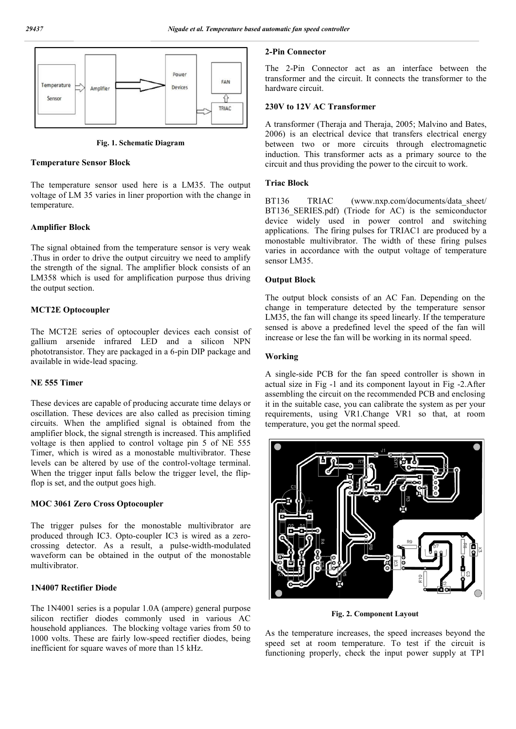

**Fig. 1. Schematic Diagram**

#### **Temperature Sensor Block**

The temperature sensor used here is a LM35. The output voltage of LM 35 varies in liner proportion with the change in temperature.

### **Amplifier Block**

The signal obtained from the temperature sensor is very weak .Thus in order to drive the output circuitry we need to amplify the strength of the signal. The amplifier block consists of an LM358 which is used for amplification purpose thus driving the output section.

### **MCT2E Optocoupler**

The MCT2E series of optocoupler devices each consist of gallium arsenide infrared LED and a silicon NPN phototransistor. They are packaged in a 6-pin DIP package and available in wide-lead spacing.

#### **NE 555 Timer**

These devices are capable of producing accurate time delays or oscillation. These devices are also called as precision timing circuits. When the amplified signal is obtained from the amplifier block, the signal strength is increased. This amplified voltage is then applied to control voltage pin 5 of NE 555 Timer, which is wired as a monostable multivibrator. These levels can be altered by use of the control-voltage terminal. When the trigger input falls below the trigger level, the flipflop is set, and the output goes high.

### **MOC 3061 Zero Cross Optocoupler**

The trigger pulses for the monostable multivibrator are produced through IC3. Opto-coupler IC3 is wired as a zerocrossing detector. As a result, a pulse-width-modulated waveform can be obtained in the output of the monostable multivibrator.

### **1N4007 Rectifier Diode**

The 1N4001 series is a popular 1.0A (ampere) general purpose silicon rectifier diodes commonly used in various AC household appliances. The blocking voltage varies from 50 to 1000 volts. These are fairly low-speed rectifier diodes, being inefficient for square waves of more than 15 kHz.

### **2-Pin Connector**

The 2-Pin Connector act as an interface between the transformer and the circuit. It connects the transformer to the hardware circuit.

### **230V to 12V AC Transformer**

A transformer (Theraja and Theraja, 2005; Malvino and Bates, 2006) is an electrical device that transfers electrical energy between two or more circuits through electromagnetic induction. This transformer acts as a primary source to the circuit and thus providing the power to the circuit to work.

#### **Triac Block**

BT136 TRIAC (www.nxp.com/documents/data\_sheet/ BT136 SERIES.pdf) (Triode for AC) is the semiconductor device widely used in power control and switching applications. The firing pulses for TRIAC1 are produced by a monostable multivibrator. The width of these firing pulses varies in accordance with the output voltage of temperature sensor LM35.

#### **Output Block**

The output block consists of an AC Fan. Depending on the change in temperature detected by the temperature sensor LM35, the fan will change its speed linearly. If the temperature sensed is above a predefined level the speed of the fan will increase or lese the fan will be working in its normal speed.

### **Working**

A single-side PCB for the fan speed controller is shown in actual size in Fig -1 and its component layout in Fig -2.After assembling the circuit on the recommended PCB and enclosing it in the suitable case, you can calibrate the system as per your requirements, using VR1.Change VR1 so that, at room temperature, you get the normal speed.



**Fig. 2. Component Layout**

As the temperature increases, the speed increases beyond the speed set at room temperature. To test if the circuit is functioning properly, check the input power supply at TP1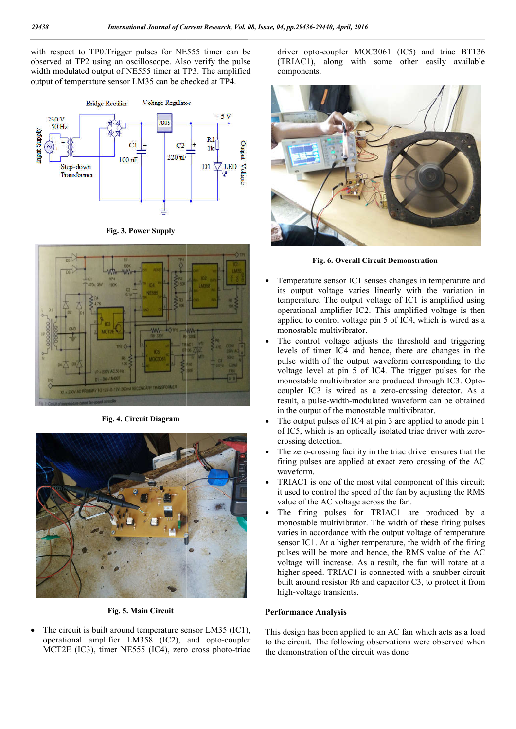with respect to TP0.Trigger pulses for NE555 timer can be observed at TP2 using an oscilloscope. Also verify the pulse width modulated output of NE555 timer at TP3. The amplified output of temperature sensor LM35 can be checked at TP4.



**Fig. 3. Power Supply**



**Fig. 4. Circuit Diagram**



**Fig. 5. Main Circuit**

 The circuit is built around temperature sensor LM35 (IC1), operational amplifier LM358 (IC2), and opto-coupler MCT2E (IC3), timer NE555 (IC4), zero cross photo-triac driver opto-coupler MOC3061 (IC5) and triac BT136 driver opto-coupler MOC3061 (IC5) and triac BT136<br>(TRIAC1), along with some other easily available components.



**Fig. 6. Overall Circuit Demonstration Circuit Demonstration**

- Temperature sensor IC1 senses changes in temperature and its output voltage varies linearly with the variation in temperature. The output voltage of IC1 is amplified using operational amplifier IC2. This amplified voltage is then applied to control voltage pin 5 of IC4, which is wired as a monostable multivibrator. neture sensor IC1 senses changes in temperature and output voltage varies linearly with the variation in perature. The output voltage of IC1 is amplified using rational amplifier IC2. This amplified voltage is then lied to
- The control voltage adjusts the threshold and triggering levels of timer IC4 and hence, there are changes in the pulse width of the output waveform corresponding to the voltage level at pin 5 of IC4. The trigger pulses for the monostable multivibrator are produced through IC3. Opto coupler IC3 is wired as a zero-crossing detector. As a result, a pulse-width-modulated waveform can be obtained in the output of the monostable multivibrator.
- The output pulses of IC4 at pin 3 are applied to anode pin 1 in the output of the monostable multivibrator.<br>The output pulses of IC4 at pin 3 are applied to anode pin 1<br>of IC5, which is an optically isolated triac driver with zerocrossing detection.
- The zero-crossing facility in the triac driver ensures that the firing pulses are applied at exact zero crossing of the AC waveform.
- TRIAC1 is one of the most vital component of this circuit; it used to control the speed of the fan by adjusting the RMS value of the AC voltage across the fan.
- The firing pulses for TRIAC1 are produced by a monostable multivibrator. The width of these firing pulses varies in accordance with the output voltage of temperature sensor IC1. At a higher temperature, the width of the firing pulses will be more and hence, the RMS value of the AC voltage will increase. As a result, the fan will rotate at a higher speed. TRIAC1 is connected with a snubber circuit built around resistor R6 and capacitor C3, to protect it from high-voltage transients. firing pulses are applied at exact zero crossing of the  $\mu$ <br>waveform.<br>TRIAC1 is one of the most vital component of this circu<br>it used to control the speed of the fan by adjusting the RN<br>value of the AC voltage across the voltage will increase. As a result, the fan will rotate<br>higher speed. TRIAC1 is connected with a snubber ci<br>built around resistor R6 and capacitor C3, to protect it<br>high-voltage transients.<br>**rformance Analysis**<br>is design h

#### **Performance Analysis**

This design has been applied to an AC fan which acts as a load to the circuit. The following observations were observed when the demonstration of the circuit was done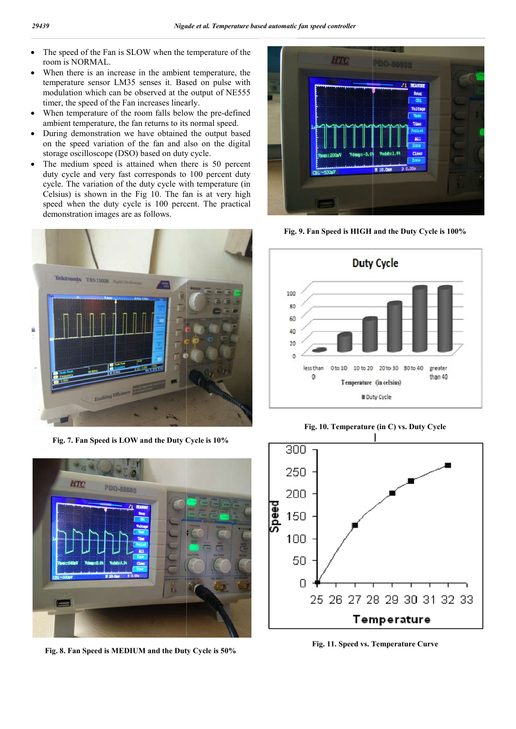- The speed of the Fan is SLOW when the temperature of the room is NORMAL.
- When there is an increase in the ambient temperature, the temperature sensor LM35 senses it. Based on pulse with modulation which can be observed at the output of NE555 timer, the speed of the Fan increases linearly.
- When temperature of the room falls below the pre-defined ambient temperature, the fan returns to its normal speed.
- During demonstration we have obtained the output based on the speed variation of the fan and also on the digital storage oscilloscope (DSO) based on duty cycle. nt temperature, the<br>g demonstration we<br>speed variation of<br>e oscilloscope (DSC<br>nedium speed is a<br>ycle and very fast
- The medium speed is attained when there is 50 percent duty cycle and very fast corresponds to 100 percent duty cycle. The variation of the duty cycle with temperature (in Celsius) is shown in the Fig 10. The fan is at very high speed when the duty cycle is 100 percent. The practical demonstration images are as follows.



**Fig. 7. Fan Speed is LOW and the Duty Cycle is 10%**



**Fig. 8. Fan Speed is MEDIUM and the Duty Cycle is 50%**



**Fig. 9. Fan Speed is HIGH and the Duty Cycle is 100%**



**Fig. 10. Temperature (in C) vs. Duty Cycle**



**Fig. 11. Speed vs. Temperature Curve**